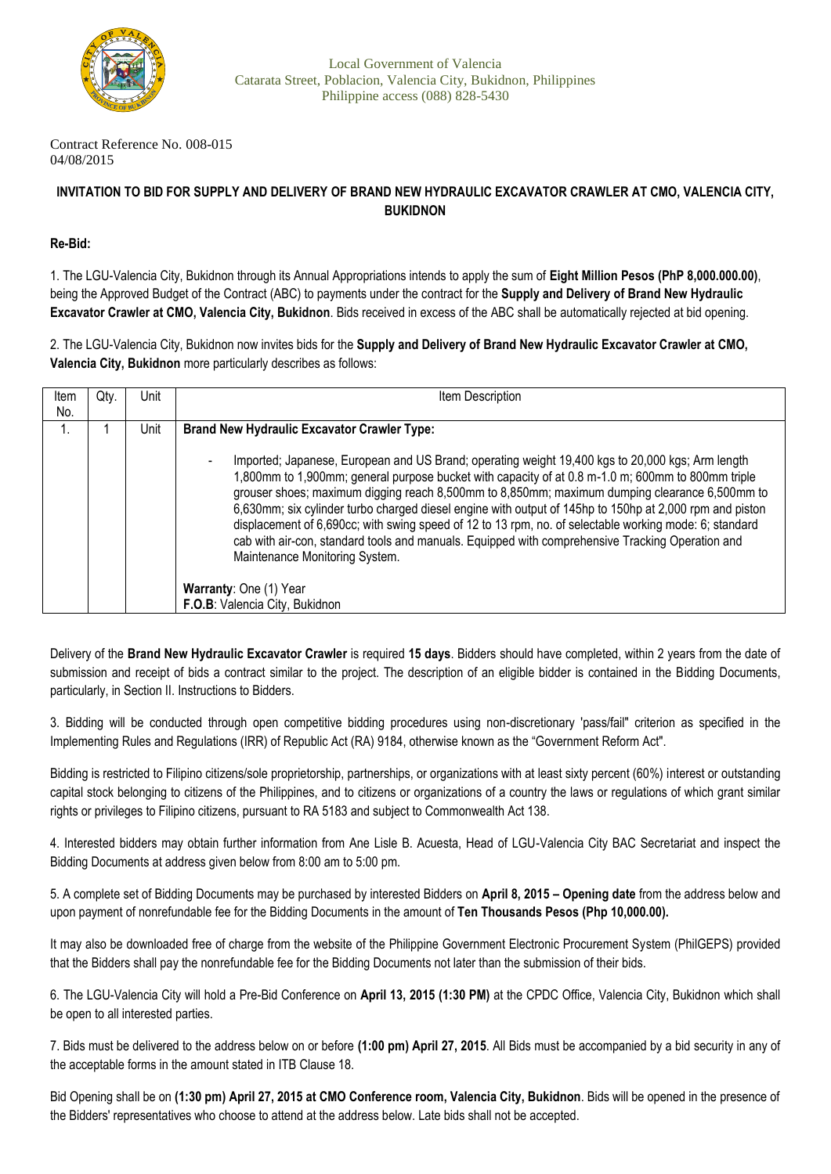

Contract Reference No. 008-015 04/08/2015

## **INVITATION TO BID FOR SUPPLY AND DELIVERY OF BRAND NEW HYDRAULIC EXCAVATOR CRAWLER AT CMO, VALENCIA CITY, BUKIDNON**

## **Re-Bid:**

1. The LGU-Valencia City, Bukidnon through its Annual Appropriations intends to apply the sum of **Eight Million Pesos (PhP 8,000.000.00)**, being the Approved Budget of the Contract (ABC) to payments under the contract for the **Supply and Delivery of Brand New Hydraulic Excavator Crawler at CMO, Valencia City, Bukidnon**. Bids received in excess of the ABC shall be automatically rejected at bid opening.

2. The LGU-Valencia City, Bukidnon now invites bids for the **Supply and Delivery of Brand New Hydraulic Excavator Crawler at CMO, Valencia City, Bukidnon** more particularly describes as follows:

| Item | Qty. | Unit | Item Description                                                                                                                                                                                                                                                                                                                                                                                                                                                                                                                                                                                                                                                  |
|------|------|------|-------------------------------------------------------------------------------------------------------------------------------------------------------------------------------------------------------------------------------------------------------------------------------------------------------------------------------------------------------------------------------------------------------------------------------------------------------------------------------------------------------------------------------------------------------------------------------------------------------------------------------------------------------------------|
| No.  |      |      |                                                                                                                                                                                                                                                                                                                                                                                                                                                                                                                                                                                                                                                                   |
|      |      | Unit | <b>Brand New Hydraulic Excavator Crawler Type:</b>                                                                                                                                                                                                                                                                                                                                                                                                                                                                                                                                                                                                                |
|      |      |      | Imported; Japanese, European and US Brand; operating weight 19,400 kgs to 20,000 kgs; Arm length<br>1,800mm to 1,900mm; general purpose bucket with capacity of at 0.8 m-1.0 m; 600mm to 800mm triple<br>grouser shoes; maximum digging reach 8,500mm to 8,850mm; maximum dumping clearance 6,500mm to<br>6,630mm; six cylinder turbo charged diesel engine with output of 145hp to 150hp at 2,000 rpm and piston<br>displacement of 6,690cc; with swing speed of 12 to 13 rpm, no. of selectable working mode: 6; standard<br>cab with air-con, standard tools and manuals. Equipped with comprehensive Tracking Operation and<br>Maintenance Monitoring System. |
|      |      |      | Warranty: One (1) Year                                                                                                                                                                                                                                                                                                                                                                                                                                                                                                                                                                                                                                            |
|      |      |      | F.O.B: Valencia City, Bukidnon                                                                                                                                                                                                                                                                                                                                                                                                                                                                                                                                                                                                                                    |

Delivery of the **Brand New Hydraulic Excavator Crawler** is required **15 days**. Bidders should have completed, within 2 years from the date of submission and receipt of bids a contract similar to the project. The description of an eligible bidder is contained in the Bidding Documents, particularly, in Section II. Instructions to Bidders.

3. Bidding will be conducted through open competitive bidding procedures using non-discretionary 'pass/fail" criterion as specified in the Implementing Rules and Regulations (IRR) of Republic Act (RA) 9184, otherwise known as the "Government Reform Act".

Bidding is restricted to Filipino citizens/sole proprietorship, partnerships, or organizations with at least sixty percent (60%) interest or outstanding capital stock belonging to citizens of the Philippines, and to citizens or organizations of a country the laws or regulations of which grant similar rights or privileges to Filipino citizens, pursuant to RA 5183 and subject to Commonwealth Act 138.

4. Interested bidders may obtain further information from Ane Lisle B. Acuesta, Head of LGU-Valencia City BAC Secretariat and inspect the Bidding Documents at address given below from 8:00 am to 5:00 pm.

5. A complete set of Bidding Documents may be purchased by interested Bidders on **April 8, 2015 – Opening date** from the address below and upon payment of nonrefundable fee for the Bidding Documents in the amount of **Ten Thousands Pesos (Php 10,000.00).** 

It may also be downloaded free of charge from the website of the Philippine Government Electronic Procurement System (PhilGEPS) provided that the Bidders shall pay the nonrefundable fee for the Bidding Documents not later than the submission of their bids.

6. The LGU-Valencia City will hold a Pre-Bid Conference on **April 13, 2015 (1:30 PM)** at the CPDC Office, Valencia City, Bukidnon which shall be open to all interested parties.

7. Bids must be delivered to the address below on or before **(1:00 pm) April 27, 2015**. All Bids must be accompanied by a bid security in any of the acceptable forms in the amount stated in ITB Clause 18.

Bid Opening shall be on **(1:30 pm) April 27, 2015 at CMO Conference room, Valencia City, Bukidnon**. Bids will be opened in the presence of the Bidders' representatives who choose to attend at the address below. Late bids shall not be accepted.